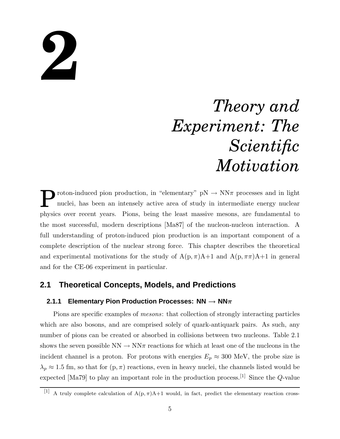# **2**

# *Theory and Experiment: The Scientific Motivation*

P roton-induced pion production, in "elementary"  $pN \rightarrow NN\pi$  processes and in light nuclei, has been an intensely active area of study in intermediate energy nuclear physics over recent years. Pions, being the least massive mesons, are fundamental to the most successful, modern descriptions [Ma87] of the nucleon-nucleon interaction. A full understanding of proton-induced pion production is an important component of a complete description of the nuclear strong force. This chapter describes the theoretical and experimental motivations for the study of  $A(p, \pi)A+1$  and  $A(p, \pi\pi)A+1$  in general and for the CE-06 experiment in particular.

# **2.1 Theoretical Concepts, Models, and Predictions**

#### **2.1.1 Elementary Pion Production Processes: NN** → **NN**π

Pions are specific examples of *mesons*: that collection of strongly interacting particles which are also bosons, and are comprised solely of quark-antiquark pairs. As such, any number of pions can be created or absorbed in collisions between two nucleons. Table 2.1 shows the seven possible  $NN \to NN\pi$  reactions for which at least one of the nucleons in the incident channel is a proton. For protons with energies  $E_p \approx 300$  MeV, the probe size is  $\lambda_p \approx 1.5$  fm, so that for  $(p, \pi)$  reactions, even in heavy nuclei, the channels listed would be expected [Ma79] to play an important role in the production process.<sup>[1]</sup> Since the  $Q$ -value

<sup>[1]</sup> A truly complete calculation of  $A(p, \pi)A+1$  would, in fact, predict the elementary reaction cross-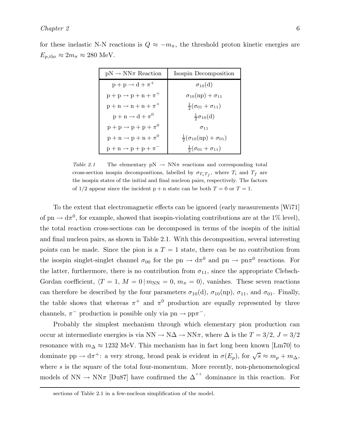| $pN \to NN\pi$ Reaction             | Isospin Decomposition                        |
|-------------------------------------|----------------------------------------------|
| $p + p \rightarrow d + \pi^{+}$     | $\sigma_{10}(d)$                             |
| $p + p \rightarrow p + n + \pi^+$   | $\sigma_{10}(np) + \sigma_{11}$              |
| $p + n \rightarrow n + n + \pi^{+}$ | $\frac{1}{2}(\sigma_{01}+\sigma_{11})$       |
| $p + n \rightarrow d + \pi^0$       | $rac{1}{2}\sigma_{10}(d)$                    |
| $p + p \rightarrow p + p + \pi^0$   | $\sigma$ <sub>11</sub>                       |
| $p + n \rightarrow p + n + \pi^0$   | $\frac{1}{2}(\sigma_{10}(np) + \sigma_{01})$ |
| $p + n \rightarrow p + p + \pi^{-}$ | $\frac{1}{2}(\sigma_{01}+\sigma_{11})$       |

for these inelastic N-N reactions is  $Q \approx -m_{\pi}$ , the threshold proton kinetic energies are  $E_{p,\text{thr}} \approx 2m_{\pi} \approx 280 \text{ MeV}.$ 

Table 2.1 The elementary  $pN \to NN\pi$  reactions and corresponding total cross-section isospin decompositions, labelled by  $\sigma_{T_i T_f}$ , where  $T_i$  and  $T_f$  are the isospin states of the initial and final nucleon pairs, respectively. The factors of  $1/2$  appear since the incident  $p + n$  state can be both  $T = 0$  or  $T = 1$ .

To the extent that electromagnetic effects can be ignored (early measurements [Wi71] of pn  $\rightarrow$  d $\pi^0$ , for example, showed that isospin-violating contributions are at the 1% level), the total reaction cross-sections can be decomposed in terms of the isospin of the initial and final nucleon pairs, as shown in Table 2.1. With this decomposition, several interesting points can be made. Since the pion is a  $T = 1$  state, there can be no contribution from the isospin singlet-singlet channel  $\sigma_{00}$  for the pn  $\to d\pi^0$  and pn  $\to pn\pi^0$  reactions. For the latter, furthermore, there is no contribution from  $\sigma_{11}$ , since the appropriate Clebsch-Gordan coefficient,  $\langle T = 1, M = 0 | m_{NN} = 0, m_{\pi} = 0 \rangle$ , vanishes. These seven reactions can therefore be described by the four parameters  $\sigma_{10}(d)$ ,  $\sigma_{10}(np)$ ,  $\sigma_{11}$ , and  $\sigma_{01}$ . Finally, the table shows that whereas  $\pi^+$  and  $\pi^0$  production are equally represented by three channels,  $\pi^-$  production is possible only via pn  $\rightarrow$  pp $\pi^-$ .

Probably the simplest mechanism through which elementary pion production can occur at intermediate energies is via  $NN \to N\Delta \to NN\pi$ , where  $\Delta$  is the  $T = 3/2$ ,  $J = 3/2$ resonance with  $m_{\Delta} \approx 1232$  MeV. This mechanism has in fact long been known [Lm70] to dominate  $pp \to d\pi^+$ : a very strong, broad peak is evident in  $\sigma(E_p)$ , for  $\sqrt{s} \approx m_p + m_\Delta$ , where s is the square of the total four-momentum. More recently, non-phenomenological models of NN  $\rightarrow$  NN $\pi$  [Du87] have confirmed the  $\Delta^{++}$  dominance in this reaction. For

sections of Table 2.1 in a few-nucleon simplification of the model.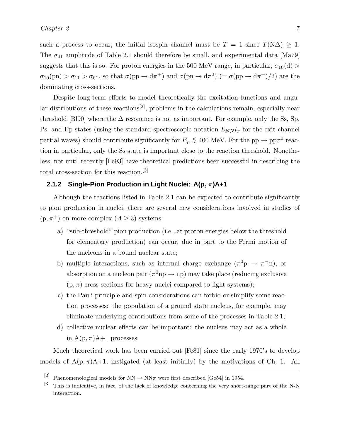such a process to occur, the initial isospin channel must be  $T = 1$  since  $T(N\Delta) \geq 1$ . The  $\sigma_{01}$  amplitude of Table 2.1 should therefore be small, and experimental data [Ma79] suggests that this is so. For proton energies in the 500 MeV range, in particular,  $\sigma_{10}(d)$  $\sigma_{10}(pn) > \sigma_{11} > \sigma_{01}$ , so that  $\sigma(pp \to d\pi^+)$  and  $\sigma(pn \to d\pi^0)$   $(=\sigma(pp \to d\pi^+)/2)$  are the dominating cross-sections.

Despite long-term efforts to model theoretically the excitation functions and angular distributions of these reactions<sup>[2]</sup>, problems in the calculations remain, especially near threshold [Bl90] where the  $\Delta$  resonance is not as important. For example, only the Ss, Sp, Ps, and Pp states (using the standard spectroscopic notation  $L_{NN} l_{\pi}$  for the exit channel partial waves) should contribute significantly for  $E_p \lesssim 400$  MeV. For the pp  $\rightarrow$  pp $\pi^0$  reaction in particular, only the Ss state is important close to the reaction threshold. Nonetheless, not until recently [Le93] have theoretical predictions been successful in describing the total cross-section for this reaction.[3]

#### **2.1.2 Single-Pion Production in Light Nuclei: A(p**, π**)A+1**

Although the reactions listed in Table 2.1 can be expected to contribute significantly to pion production in nuclei, there are several new considerations involved in studies of  $(p, \pi^+)$  on more complex  $(A \geq 3)$  systems:

- a) "sub-threshold" pion production (i.e., at proton energies below the threshold for elementary production) can occur, due in part to the Fermi motion of the nucleons in a bound nuclear state;
- b) multiple interactions, such as internal charge exchange  $(\pi^0 p \rightarrow \pi^- n)$ , or absorption on a nucleon pair  $(\pi^0 np \to np)$  may take place (reducing exclusive  $(p, \pi)$  cross-sections for heavy nuclei compared to light systems);
- c) the Pauli principle and spin considerations can forbid or simplify some reaction processes: the population of a ground state nucleus, for example, may eliminate underlying contributions from some of the processes in Table 2.1;
- d) collective nuclear effects can be important: the nucleus may act as a whole in  $A(p, \pi)A+1$  processes.

Much theoretical work has been carried out [Fe81] since the early 1970's to develop models of  $A(p, \pi)A+1$ , instigated (at least initially) by the motivations of Ch. 1. All

<sup>[2]</sup> Phenomenological models for  $NN \rightarrow NN\pi$  were first described [Ge54] in 1954.

<sup>[3]</sup> This is indicative, in fact, of the lack of knowledge concerning the very short-range part of the N-N interaction.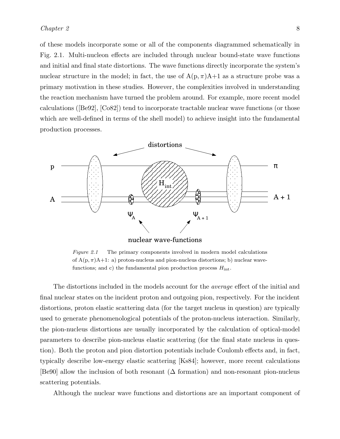of these models incorporate some or all of the components diagrammed schematically in Fig. 2.1. Multi-nucleon effects are included through nuclear bound-state wave functions and initial and final state distortions. The wave functions directly incorporate the system's nuclear structure in the model; in fact, the use of  $A(p, \pi)A+1$  as a structure probe was a primary motivation in these studies. However, the complexities involved in understanding the reaction mechanism have turned the problem around. For example, more recent model calculations ([Be92], [Co82]) tend to incorporate tractable nuclear wave functions (or those which are well-defined in terms of the shell model) to achieve insight into the fundamental production processes.



Figure 2.1 The primary components involved in modern model calculations of  $A(p, \pi)A+1$ : a) proton-nucleus and pion-nucleus distortions; b) nuclear wavefunctions; and c) the fundamental pion production process  $H_{\text{int}}$ .

The distortions included in the models account for the *average* effect of the initial and final nuclear states on the incident proton and outgoing pion, respectively. For the incident distortions, proton elastic scattering data (for the target nucleus in question) are typically used to generate phenomenological potentials of the proton-nucleus interaction. Similarly, the pion-nucleus distortions are usually incorporated by the calculation of optical-model parameters to describe pion-nucleus elastic scattering (for the final state nucleus in question). Both the proton and pion distortion potentials include Coulomb effects and, in fact, typically describe low-energy elastic scattering [Ks84]; however, more recent calculations [Be90] allow the inclusion of both resonant (∆ formation) and non-resonant pion-nucleus scattering potentials.

Although the nuclear wave functions and distortions are an important component of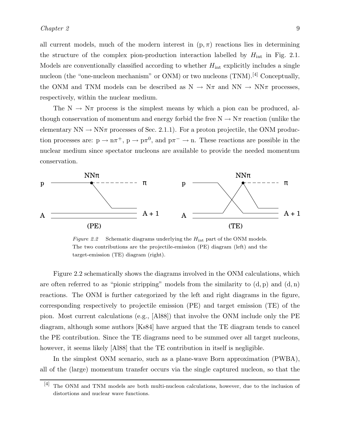all current models, much of the modern interest in  $(p, \pi)$  reactions lies in determining the structure of the complex pion-production interaction labelled by  $H_{\text{int}}$  in Fig. 2.1. Models are conventionally classified according to whether  $H_{int}$  explicitly includes a single nucleon (the "one-nucleon mechanism" or ONM) or two nucleons (TNM).<sup>[4]</sup> Conceptually, the ONM and TNM models can be described as  $N \to N\pi$  and  $NN \to NN\pi$  processes, respectively, within the nuclear medium.

The  $N \to N\pi$  process is the simplest means by which a pion can be produced, although conservation of momentum and energy forbid the free  $N \to N\pi$  reaction (unlike the elementary  $NN \rightarrow NN\pi$  processes of Sec. 2.1.1). For a proton projectile, the ONM production processes are:  $p \to n\pi^+$ ,  $p \to p\pi^0$ , and  $p\pi^- \to n$ . These reactions are possible in the nuclear medium since spectator nucleons are available to provide the needed momentum conservation.



Figure 2.2 Schematic diagrams underlying the  $H_{int}$  part of the ONM models. The two contributions are the projectile-emission (PE) diagram (left) and the target-emission (TE) diagram (right).

Figure 2.2 schematically shows the diagrams involved in the ONM calculations, which are often referred to as "pionic stripping" models from the similarity to  $(d, p)$  and  $(d, n)$ reactions. The ONM is further categorized by the left and right diagrams in the figure, corresponding respectively to projectile emission (PE) and target emission (TE) of the pion. Most current calculations (e.g., [Al88]) that involve the ONM include only the PE diagram, although some authors [Ks84] have argued that the TE diagram tends to cancel the PE contribution. Since the TE diagrams need to be summed over all target nucleons, however, it seems likely [Al88] that the TE contribution in itself is negligible.

In the simplest ONM scenario, such as a plane-wave Born approximation (PWBA), all of the (large) momentum transfer occurs via the single captured nucleon, so that the

<sup>[4]</sup> The ONM and TNM models are both multi-nucleon calculations, however, due to the inclusion of distortions and nuclear wave functions.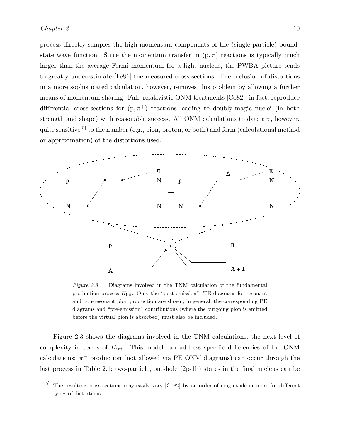process directly samples the high-momentum components of the (single-particle) boundstate wave function. Since the momentum transfer in  $(p, \pi)$  reactions is typically much larger than the average Fermi momentum for a light nucleus, the PWBA picture tends to greatly underestimate [Fe81] the measured cross-sections. The inclusion of distortions in a more sophisticated calculation, however, removes this problem by allowing a further means of momentum sharing. Full, relativistic ONM treatments [Co82], in fact, reproduce differential cross-sections for  $(p, \pi^+)$  reactions leading to doubly-magic nuclei (in both strength and shape) with reasonable success. All ONM calculations to date are, however, quite sensitive<sup>[5]</sup> to the number (e.g., pion, proton, or both) and form (calculational method or approximation) of the distortions used.



Figure 2.3 Diagrams involved in the TNM calculation of the fundamental production process  $H_{int}$ . Only the "post-emission", TE diagrams for resonant and non-resonant pion production are shown; in general, the corresponding PE diagrams and "pre-emission" contributions (where the outgoing pion is emitted before the virtual pion is absorbed) must also be included.

Figure 2.3 shows the diagrams involved in the TNM calculations, the next level of complexity in terms of  $H_{\text{int}}$ . This model can address specific deficiencies of the ONM calculations:  $\pi^-$  production (not allowed via PE ONM diagrams) can occur through the last process in Table 2.1; two-particle, one-hole (2p-1h) states in the final nucleus can be

<sup>[5]</sup> The resulting cross-sections may easily vary [Co82] by an order of magnitude or more for different types of distortions.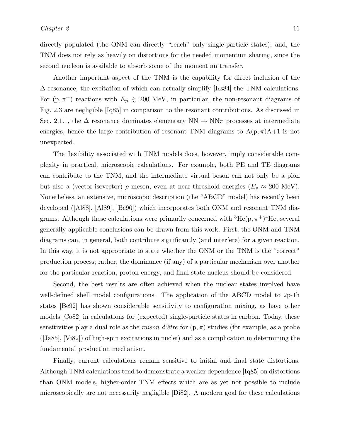directly populated (the ONM can directly "reach" only single-particle states); and, the TNM does not rely as heavily on distortions for the needed momentum sharing, since the second nucleon is available to absorb some of the momentum transfer.

Another important aspect of the TNM is the capability for direct inclusion of the  $\Delta$  resonance, the excitation of which can actually simplify [Ks84] the TNM calculations. For  $(p, \pi^+)$  reactions with  $E_p \gtrsim 200$  MeV, in particular, the non-resonant diagrams of Fig. 2.3 are negligible [Iq85] in comparison to the resonant contributions. As discussed in Sec. 2.1.1, the  $\Delta$  resonance dominates elementary NN  $\rightarrow$  NN $\pi$  processes at intermediate energies, hence the large contribution of resonant TNM diagrams to  $A(p, \pi)A+1$  is not unexpected.

The flexibility associated with TNM models does, however, imply considerable complexity in practical, microscopic calculations. For example, both PE and TE diagrams can contribute to the TNM, and the intermediate virtual boson can not only be a pion but also a (vector-isovector)  $\rho$  meson, even at near-threshold energies  $(E_p \approx 200 \text{ MeV})$ . Nonetheless, an extensive, microscopic description (the "ABCD" model) has recently been developed ([Al88], [Al89], [Be90]) which incorporates both ONM and resonant TNM diagrams. Although these calculations were primarily concerned with  ${}^{3}He(p, \pi^{+}){}^{4}He$ , several generally applicable conclusions can be drawn from this work. First, the ONM and TNM diagrams can, in general, both contribute significantly (and interfere) for a given reaction. In this way, it is not appropriate to state whether the ONM or the TNM is the "correct" production process; rather, the dominance (if any) of a particular mechanism over another for the particular reaction, proton energy, and final-state nucleus should be considered.

Second, the best results are often achieved when the nuclear states involved have well-defined shell model configurations. The application of the ABCD model to 2p-1h states [Be92] has shown considerable sensitivity to configuration mixing, as have other models [Co82] in calculations for (expected) single-particle states in carbon. Today, these sensitivities play a dual role as the *raison d'être* for  $(p, \pi)$  studies (for example, as a probe ([Ja85], [Vi82]) of high-spin excitations in nuclei) and as a complication in determining the fundamental production mechanism.

Finally, current calculations remain sensitive to initial and final state distortions. Although TNM calculations tend to demonstrate a weaker dependence [Iq85] on distortions than ONM models, higher-order TNM effects which are as yet not possible to include microscopically are not necessarily negligible [Di82]. A modern goal for these calculations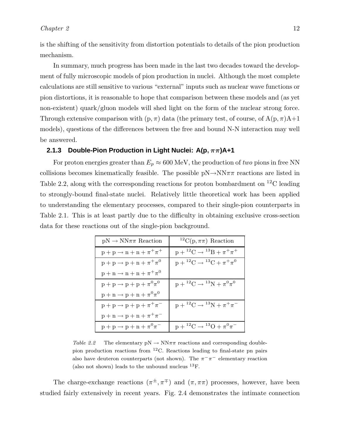is the shifting of the sensitivity from distortion potentials to details of the pion production mechanism.

In summary, much progress has been made in the last two decades toward the development of fully microscopic models of pion production in nuclei. Although the most complete calculations are still sensitive to various "external" inputs such as nuclear wave functions or pion distortions, it is reasonable to hope that comparison between these models and (as yet non-existent) quark/gluon models will shed light on the form of the nuclear strong force. Through extensive comparison with  $(p, \pi)$  data (the primary test, of course, of  $A(p, \pi)A+1$ models), questions of the differences between the free and bound N-N interaction may well be answered.

### **2.1.3 Double-Pion Production in Light Nuclei: A(p**, ππ**)A+1**

For proton energies greater than  $E_p \approx 600 \text{ MeV}$ , the production of *two* pions in free NN collisions becomes kinematically feasible. The possible  $pN \rightarrow NN\pi\pi$  reactions are listed in Table 2.2, along with the corresponding reactions for proton bombardment on <sup>12</sup>C leading to strongly-bound final-state nuclei. Relatively little theoretical work has been applied to understanding the elementary processes, compared to their single-pion counterparts in Table 2.1. This is at least partly due to the difficulty in obtaining exclusive cross-section data for these reactions out of the single-pion background.

| $pN \rightarrow NN\pi\pi$ Reaction          | <sup>12</sup> C(p, $\pi\pi$ ) Reaction            |
|---------------------------------------------|---------------------------------------------------|
| $p + p \rightarrow n + n + \pi^+ \pi^+$     | $p + {}^{12}C \rightarrow {}^{13}B + \pi^+ \pi^+$ |
| $p + p \rightarrow p + n + \pi^+ \pi^0$     | $p + {}^{12}C \rightarrow {}^{13}C + \pi^+ \pi^0$ |
| $p + n \rightarrow n + n + \pi^+ \pi^0$     |                                                   |
| $p + p \rightarrow p + p + \pi^0 \pi^0$     | $p + {}^{12}C \rightarrow {}^{13}N + \pi^0 \pi^0$ |
| $p + n \rightarrow p + n + \pi^0 \pi^0$     |                                                   |
| $p + p \rightarrow p + p + \pi^+ \pi^-$     | $p + {}^{12}C \rightarrow {}^{13}N + \pi^+ \pi^-$ |
| $p + n \rightarrow p + n + \pi^+ \pi^-$     |                                                   |
| $p + p \rightarrow p + n + \pi^{0} \pi^{-}$ | $p + {}^{12}C \rightarrow {}^{13}O + \pi^0 \pi^-$ |

Table 2.2 The elementary  $pN \to NN\pi\pi$  reactions and corresponding doublepion production reactions from  ${}^{12}$ C. Reactions leading to final-state pn pairs also have deuteron counterparts (not shown). The  $\pi^{-}\pi^{-}$  elementary reaction (also not shown) leads to the unbound nucleus  $^{13}$ F.

The charge-exchange reactions  $(\pi^{\pm}, \pi^{\mp})$  and  $(\pi, \pi\pi)$  processes, however, have been studied fairly extensively in recent years. Fig. 2.4 demonstrates the intimate connection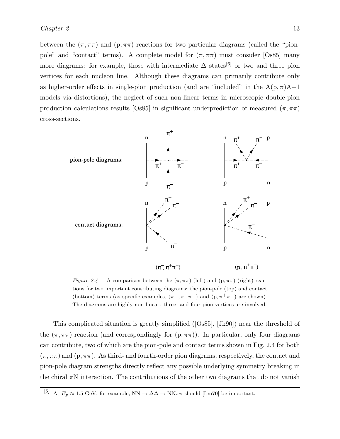between the  $(\pi, \pi\pi)$  and  $(p, \pi\pi)$  reactions for two particular diagrams (called the "pionpole" and "contact" terms). A complete model for  $(\pi, \pi\pi)$  must consider [Os85] many more diagrams: for example, those with intermediate  $\Delta$  states<sup>[6]</sup> or two and three pion vertices for each nucleon line. Although these diagrams can primarily contribute only as higher-order effects in single-pion production (and are "included" in the  $A(p, \pi)A+1$ models via distortions), the neglect of such non-linear terms in microscopic double-pion production calculations results [Os85] in significant underprediction of measured  $(\pi, \pi\pi)$ cross-sections.



Figure 2.4 A comparison between the  $(\pi, \pi\pi)$  (left) and (p,  $\pi\pi$ ) (right) reactions for two important contributing diagrams: the pion-pole (top) and contact (bottom) terms (as specific examples,  $(\pi^{-}, \pi^{+}\pi^{-})$  and  $(p, \pi^{+}\pi^{-})$  are shown). The diagrams are highly non-linear: three- and four-pion vertices are involved.

This complicated situation is greatly simplified ([Os85], [Jk90]) near the threshold of the  $(\pi, \pi)$  reaction (and correspondingly for  $(p, \pi)$ ). In particular, only four diagrams can contribute, two of which are the pion-pole and contact terms shown in Fig. 2.4 for both  $(\pi, \pi\pi)$  and  $(p, \pi\pi)$ . As third- and fourth-order pion diagrams, respectively, the contact and pion-pole diagram strengths directly reflect any possible underlying symmetry breaking in the chiral  $\pi N$  interaction. The contributions of the other two diagrams that do not vanish

<sup>[6]</sup> At  $E_p \approx 1.5 \text{ GeV}$ , for example, NN  $\rightarrow \Delta\Delta \rightarrow \text{NN}\pi\pi$  should [Lm70] be important.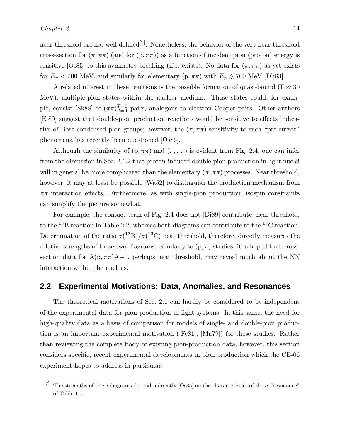for  $E_{\pi}$  < 200 MeV, and similarly for elementary (p,  $\pi\pi$ ) with  $E_p \lesssim 700$  MeV [Dh83]. A related interest in these reactions is the possible formation of quasi-bound ( $\Gamma \approx 30$ ) MeV), multiple-pion states within the nuclear medium. These states could, for example, consist [Sk88] of  $(\pi \pi)_{J=0}^{T=0}$  pairs, analogous to electron Cooper pairs. Other authors [Ei80] suggest that double-pion production reactions would be sensitive to effects indicative of Bose condensed pion groups; however, the  $(\pi, \pi\pi)$  sensitivity to such "pre-cursor" phenomena has recently been questioned [Os86].

Although the similarity of  $(p, \pi\pi)$  and  $(\pi, \pi\pi)$  is evident from Fig. 2.4, one can infer from the discussion in Sec. 2.1.2 that proton-induced double-pion production in light nuclei will in general be more complicated than the elementary  $(\pi, \pi\pi)$  processes. Near threshold, however, it may at least be possible [Wa52] to distinguish the production mechanism from  $\pi\pi$  interaction effects. Furthermore, as with single-pion production, isospin constraints can simplify the picture somewhat.

For example, the contact term of Fig. 2.4 does not [Di89] contribute, near threshold, to the <sup>13</sup>B reaction in Table 2.2, whereas both diagrams can contribute to the <sup>13</sup>C reaction. Determination of the ratio  $\sigma(^{13}B)/\sigma(^{13}C)$  near threshold, therefore, directly measures the relative strengths of these two diagrams. Similarly to  $(p, \pi)$  studies, it is hoped that crosssection data for  $A(p, \pi\pi)A+1$ , perhaps near threshold, may reveal much about the NN interaction within the nucleus.

## **2.2 Experimental Motivations: Data, Anomalies, and Resonances**

The theoretical motivations of Sec. 2.1 can hardly be considered to be independent of the experimental data for pion production in light systems. In this sense, the need for high-quality data as a basis of comparison for models of single- and double-pion production is an important experimental motivation ([Fe81], [Ma79]) for these studies. Rather than reviewing the complete body of existing pion-production data, however, this section considers specific, recent experimental developments in pion production which the CE-06 experiment hopes to address in particular.

<sup>[7]</sup> The strengths of these diagrams depend indirectly [Os85] on the characteristics of the  $\sigma$  "resonance" of Table 1.1.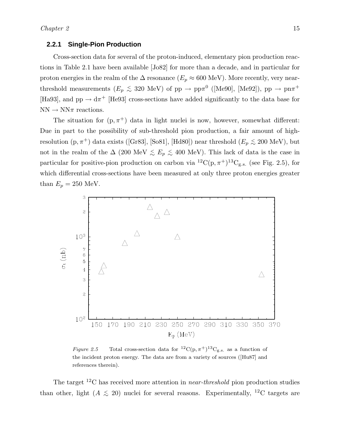#### **2.2.1 Single-Pion Production**

Cross-section data for several of the proton-induced, elementary pion production reactions in Table 2.1 have been available [Jo82] for more than a decade, and in particular for proton energies in the realm of the  $\Delta$  resonance ( $E_p \approx 600$  MeV). More recently, very nearthreshold measurements  $(E_p \leq 320 \text{ MeV})$  of  $pp \to pp\pi^0$  ([Me90], [Me92]),  $pp \to pn\pi^+$ [Ha93], and  $pp \rightarrow d\pi^{+}$  [He93] cross-sections have added significantly to the data base for  $NN \rightarrow NN\pi$  reactions.

The situation for  $(p, \pi^+)$  data in light nuclei is now, however, somewhat different: Due in part to the possibility of sub-threshold pion production, a fair amount of highresolution  $(p, \pi^+)$  data exists ([Gr83], [So81], [Hd80]) near threshold  $(E_p \lesssim 200 \text{ MeV})$ , but not in the realm of the  $\Delta$  (200 MeV  $\lesssim E_p \lesssim 400$  MeV). This lack of data is the case in particular for positive-pion production on carbon via  ${}^{12}C(p, \pi^+){}^{13}C_{g.s.}$  (see Fig. 2.5), for which differential cross-sections have been measured at only three proton energies greater than  $E_p = 250$  MeV.



Figure 2.5 Total cross-section data for  ${}^{12}C(p, \pi^+){}^{13}C_{g.s.}$  as a function of the incident proton energy. The data are from a variety of sources ([Hu87] and references therein).

The target <sup>12</sup>C has received more attention in *near-threshold* pion production studies than other, light ( $A \le 20$ ) nuclei for several reasons. Experimentally, <sup>12</sup>C targets are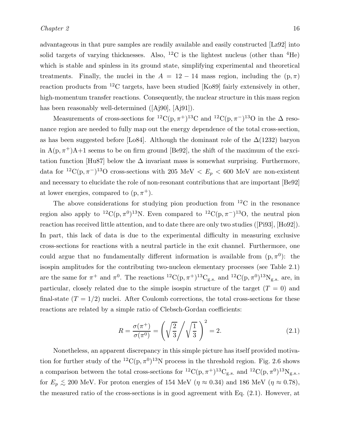advantageous in that pure samples are readily available and easily constructed [Lz92] into solid targets of varying thicknesses. Also,  ${}^{12}$ C is the lightest nucleus (other than  ${}^{4}$ He) which is stable and spinless in its ground state, simplifying experimental and theoretical treatments. Finally, the nuclei in the  $A = 12 - 14$  mass region, including the  $(p, \pi)$ reaction products from  ${}^{12}$ C targets, have been studied [Ko89] fairly extensively in other, high-momentum transfer reactions. Consequently, the nuclear structure in this mass region has been reasonably well-determined ([Aj90], [Aj91]).

Measurements of cross-sections for <sup>12</sup>C(p,  $\pi$ <sup>+</sup>)<sup>13</sup>C and <sup>12</sup>C(p,  $\pi$ <sup>-</sup>)<sup>13</sup>O in the  $\Delta$  resonance region are needed to fully map out the energy dependence of the total cross-section, as has been suggested before [Lo84]. Although the dominant role of the  $\Delta(1232)$  baryon in  $A(p, \pi^+)A+1$  seems to be on firm ground [Be92], the shift of the maximum of the excitation function [Hu87] below the  $\Delta$  invariant mass is somewhat surprising. Furthermore, data for <sup>12</sup>C(p,  $\pi$ <sup>-</sup>)<sup>13</sup>O cross-sections with 205 MeV <  $E_p$  < 600 MeV are non-existent and necessary to elucidate the role of non-resonant contributions that are important [Be92] at lower energies, compared to  $(p, \pi^+)$ .

The above considerations for studying pion production from  ${}^{12}$ C in the resonance region also apply to <sup>12</sup>C(p,  $\pi$ <sup>0</sup>)<sup>13</sup>N. Even compared to <sup>12</sup>C(p,  $\pi$ <sup>-</sup>)<sup>13</sup>O, the neutral pion reaction has received little attention, and to date there are only two studies ([Pi93], [Ho92]). In part, this lack of data is due to the experimental difficulty in measuring exclusive cross-sections for reactions with a neutral particle in the exit channel. Furthermore, one could argue that no fundamentally different information is available from  $(p, \pi^0)$ : the isospin amplitudes for the contributing two-nucleon elementary processes (see Table 2.1) are the same for  $\pi^+$  and  $\pi^0$ . The reactions  ${}^{12}C(p, \pi^+){}^{13}C_{g.s.}$  and  ${}^{12}C(p, \pi^0){}^{13}N_{g.s.}$  are, in particular, closely related due to the simple isospin structure of the target  $(T = 0)$  and final-state  $(T = 1/2)$  nuclei. After Coulomb corrections, the total cross-sections for these reactions are related by a simple ratio of Clebsch-Gordan coefficients:

$$
R = \frac{\sigma(\pi^+)}{\sigma(\pi^0)} = \left(\sqrt{\frac{2}{3}} \middle/ \sqrt{\frac{1}{3}}\right)^2 = 2.
$$
\n(2.1)

Nonetheless, an apparent discrepancy in this simple picture has itself provided motivation for further study of the  ${}^{12}C(p,\pi^0){}^{13}N$  process in the threshold region. Fig. 2.6 shows a comparison between the total cross-sections for  ${}^{12}C(p,\pi^+){}^{13}C_{g.s.}$  and  ${}^{12}C(p,\pi^0){}^{13}N_{g.s.}$ , for  $E_p \lesssim 200$  MeV. For proton energies of 154 MeV ( $\eta \approx 0.34$ ) and 186 MeV ( $\eta \approx 0.78$ ), the measured ratio of the cross-sections is in good agreement with Eq. (2.1). However, at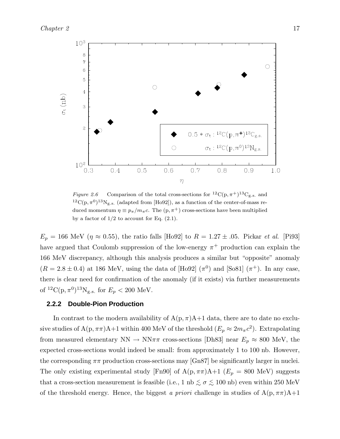

Figure 2.6 Comparison of the total cross-sections for  ${}^{12}C(p, \pi^+){}^{13}C_{g.s.}$  and <sup>12</sup>C(p,  $\pi^{0})$ <sup>13</sup>N<sub>g.s.</sub> (adapted from [Ho92]), as a function of the center-of-mass reduced momentum  $\eta \equiv p_{\pi}/m_{\pi}c$ . The  $(p, \pi^{+})$  cross-sections have been multiplied by a factor of  $1/2$  to account for Eq.  $(2.1)$ .

 $E_p = 166$  MeV ( $\eta \approx 0.55$ ), the ratio falls [Ho92] to  $R = 1.27 \pm .05$ . Pickar *et al.* [Pi93] have argued that Coulomb suppression of the low-energy  $\pi^+$  production can explain the 166 MeV discrepancy, although this analysis produces a similar but "opposite" anomaly  $(R = 2.8 \pm 0.4)$  at 186 MeV, using the data of [Ho92]  $(\pi^0)$  and [So81]  $(\pi^+)$ . In any case, there is clear need for confirmation of the anomaly (if it exists) via further measurements of  ${}^{12}C(p, \pi^0){}^{13}N_{g.s.}$  for  $E_p < 200$  MeV.

#### **2.2.2 Double-Pion Production**

In contrast to the modern availability of  $A(p, \pi)A+1$  data, there are to date no exclusive studies of A(p,  $\pi\pi$ )A+1 within 400 MeV of the threshold  $(E_p \approx 2m_{\pi}c^2)$ . Extrapolating from measured elementary  $NN \rightarrow NN\pi\pi$  cross-sections [Dh83] near  $E_p \approx 800$  MeV, the expected cross-sections would indeed be small: from approximately 1 to 100 nb. However, the corresponding  $\pi\pi$  production cross-sections may [Gn87] be significantly larger in nuclei. The only existing experimental study [Fn90] of  $A(p, \pi\pi)A+1$  ( $E_p = 800 \text{ MeV}$ ) suggests that a cross-section measurement is feasible (i.e., 1 nb  $\lesssim \sigma \lesssim 100$  nb) even within 250 MeV of the threshold energy. Hence, the biggest *a priori* challenge in studies of  $A(p, \pi\pi)A+1$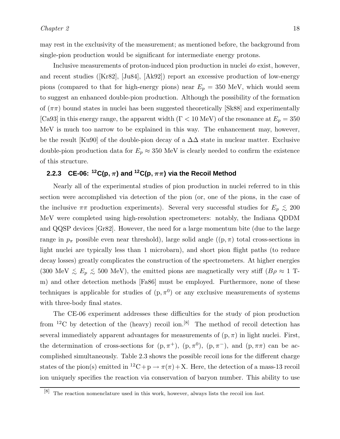may rest in the exclusivity of the measurement; as mentioned before, the background from single-pion production would be significant for intermediate energy protons.

Inclusive measurements of proton-induced pion production in nuclei *do* exist, however, and recent studies ([Kr82], [Ju84], [Ak92]) report an excessive production of low-energy pions (compared to that for high-energy pions) near  $E_p = 350$  MeV, which would seem to suggest an enhanced double-pion production. Although the possibility of the formation of  $(\pi \pi)$  bound states in nuclei has been suggested theoretically [Sk88] and experimentally [Ca93] in this energy range, the apparent width ( $\Gamma$  < 10 MeV) of the resonance at  $E_p = 350$ MeV is much too narrow to be explained in this way. The enhancement may, however, be the result [Ku90] of the double-pion decay of a  $\Delta\Delta$  state in nuclear matter. Exclusive double-pion production data for  $E_p \approx 350$  MeV is clearly needed to confirm the existence of this structure.

# **2.2.3** CE-06: <sup>12</sup>C(p,  $\pi$ ) and <sup>12</sup>C(p,  $\pi\pi$ ) via the Recoil Method

Nearly all of the experimental studies of pion production in nuclei referred to in this section were accomplished via detection of the pion (or, one of the pions, in the case of the inclusive  $\pi\pi$  production experiments). Several very successful studies for  $E_p \lesssim 200$ MeV were completed using high-resolution spectrometers: notably, the Indiana QDDM and QQSP devices [Gr82]. However, the need for a large momentum bite (due to the large range in  $p_{\pi}$  possible even near threshold), large solid angle  $((p, \pi)$  total cross-sections in light nuclei are typically less than 1 microbarn), and short pion flight paths (to reduce decay losses) greatly complicates the construction of the spectrometers. At higher energies (300 MeV  $\leq E_p \leq 500$  MeV), the emitted pions are magnetically very stiff ( $B\rho \approx 1$  Tm) and other detection methods [Fa86] must be employed. Furthermore, none of these techniques is applicable for studies of  $(p, \pi^0)$  or any exclusive measurements of systems with three-body final states.

The CE-06 experiment addresses these difficulties for the study of pion production from <sup>12</sup>C by detection of the (heavy) recoil ion.<sup>[8]</sup> The method of recoil detection has several immediately apparent advantages for measurements of  $(p, \pi)$  in light nuclei. First, the determination of cross-sections for  $(p, \pi^+)$ ,  $(p, \pi^0)$ ,  $(p, \pi^-)$ , and  $(p, \pi\pi)$  can be accomplished simultaneously. Table 2.3 shows the possible recoil ions for the different charge states of the pion(s) emitted in <sup>12</sup>C+p  $\rightarrow \pi(\pi) + X$ . Here, the detection of a mass-13 recoil ion uniquely specifies the reaction via conservation of baryon number. This ability to use

 $[8]$  The reaction nomenclature used in this work, however, always lists the recoil ion *last*.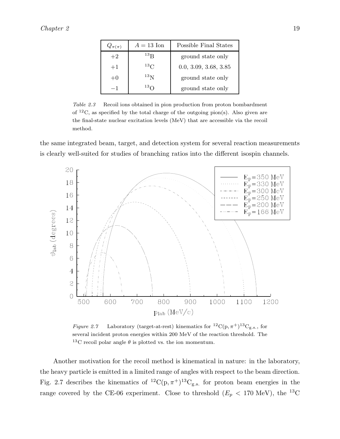| $Q_{\pi(\pi)}$ | $A = 13$ Ion         | Possible Final States |
|----------------|----------------------|-----------------------|
| $+2$           | $^{13}$ <sub>R</sub> | ground state only     |
| $+1$           | $^{13}$ C            | 0.0, 3.09, 3.68, 3.85 |
| $+0$           | $^{13}$ N            | ground state only     |
| $-1$           | $^{13}$ $\cap$       | ground state only     |

Table 2.3 Recoil ions obtained in pion production from proton bombardment of  ${}^{12}C$ , as specified by the total charge of the outgoing pion(s). Also given are the final-state nuclear excitation levels (MeV) that are accessible via the recoil method.

the same integrated beam, target, and detection system for several reaction measurements is clearly well-suited for studies of branching ratios into the different isospin channels.



Figure 2.7 Laboratory (target-at-rest) kinematics for  ${}^{12}C(p,\pi^+){}^{13}C_{g.s.}$ , for several incident proton energies within 200 MeV of the reaction threshold. The <sup>13</sup>C recoil polar angle  $\theta$  is plotted vs. the ion momentum.

Another motivation for the recoil method is kinematical in nature: in the laboratory, the heavy particle is emitted in a limited range of angles with respect to the beam direction. Fig. 2.7 describes the kinematics of  ${}^{12}C(p,\pi^+){}^{13}C_{g.s.}$  for proton beam energies in the range covered by the CE-06 experiment. Close to threshold ( $E_p < 170$  MeV), the <sup>13</sup>C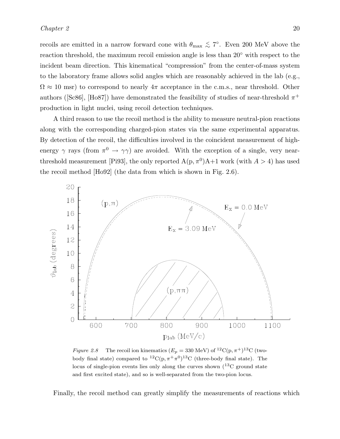recoils are emitted in a narrow forward cone with  $\theta_{\text{max}} \lesssim 7^{\circ}$ . Even 200 MeV above the reaction threshold, the maximum recoil emission angle is less than 20◦ with respect to the incident beam direction. This kinematical "compression" from the center-of-mass system to the laboratory frame allows solid angles which are reasonably achieved in the lab (e.g.,  $\Omega \approx 10$  msr) to correspond to nearly  $4\pi$  acceptance in the c.m.s., near threshold. Other authors ([Sc86], [Ho87]) have demonstrated the feasibility of studies of near-threshold  $\pi^+$ production in light nuclei, using recoil detection techniques.

A third reason to use the recoil method is the ability to measure neutral-pion reactions along with the corresponding charged-pion states via the same experimental apparatus. By detection of the recoil, the difficulties involved in the coincident measurement of highenergy  $\gamma$  rays (from  $\pi^0 \to \gamma \gamma$ ) are avoided. With the exception of a single, very nearthreshold measurement [Pi93], the only reported  $A(p, \pi^0)A+1$  work (with  $A > 4$ ) has used the recoil method [Ho92] (the data from which is shown in Fig. 2.6).



Figure 2.8 The recoil ion kinematics  $(E_p = 330 \text{ MeV})$  of  ${}^{12}C(p, \pi^+){}^{13}C$  (twobody final state) compared to  ${}^{12}C(p, \pi^+\pi^0){}^{13}C$  (three-body final state). The locus of single-pion events lies only along the curves shown  $(^{13}C)$  ground state and first excited state), and so is well-separated from the two-pion locus.

Finally, the recoil method can greatly simplify the measurements of reactions which